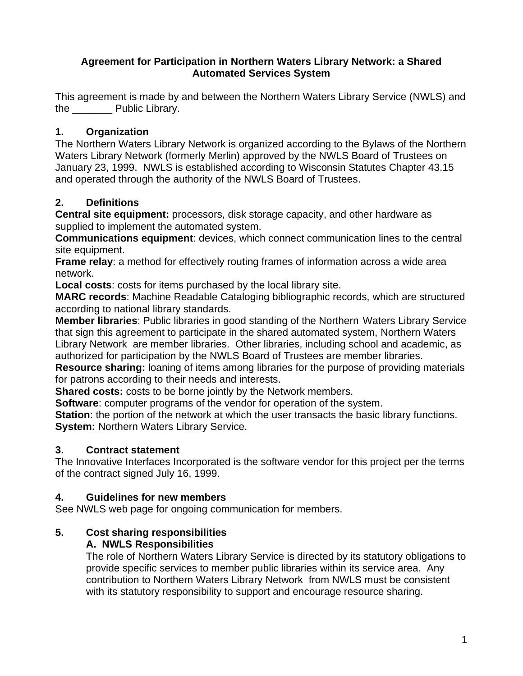#### **Agreement for Participation in Northern Waters Library Network: a Shared Automated Services System**

This agreement is made by and between the Northern Waters Library Service (NWLS) and the Public Library.

### **1. Organization**

The Northern Waters Library Network is organized according to the Bylaws of the Northern Waters Library Network (formerly Merlin) approved by the NWLS Board of Trustees on January 23, 1999. NWLS is established according to Wisconsin Statutes Chapter 43.15 and operated through the authority of the NWLS Board of Trustees.

### **2. Definitions**

**Central site equipment:** processors, disk storage capacity, and other hardware as supplied to implement the automated system.

**Communications equipment**: devices, which connect communication lines to the central site equipment.

**Frame relay**: a method for effectively routing frames of information across a wide area network.

**Local costs**: costs for items purchased by the local library site.

**MARC records**: Machine Readable Cataloging bibliographic records, which are structured according to national library standards.

**Member libraries**: Public libraries in good standing of the Northern Waters Library Service that sign this agreement to participate in the shared automated system, Northern Waters Library Network are member libraries. Other libraries, including school and academic, as authorized for participation by the NWLS Board of Trustees are member libraries.

**Resource sharing:** loaning of items among libraries for the purpose of providing materials for patrons according to their needs and interests.

**Shared costs:** costs to be borne jointly by the Network members.

**Software**: computer programs of the vendor for operation of the system.

**Station**: the portion of the network at which the user transacts the basic library functions. **System:** Northern Waters Library Service.

#### **3. Contract statement**

The Innovative Interfaces Incorporated is the software vendor for this project per the terms of the contract signed July 16, 1999.

#### **4. Guidelines for new members**

See NWLS web page for ongoing communication for members.

# **5. Cost sharing responsibilities**

#### **A. NWLS Responsibilities**

The role of Northern Waters Library Service is directed by its statutory obligations to provide specific services to member public libraries within its service area. Any contribution to Northern Waters Library Network from NWLS must be consistent with its statutory responsibility to support and encourage resource sharing.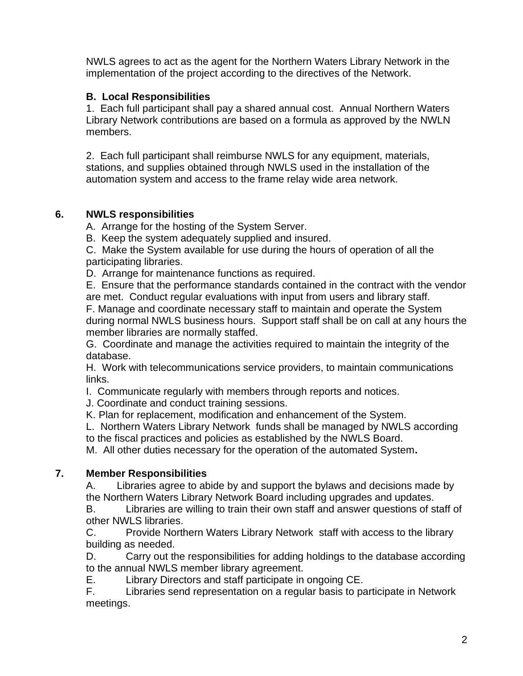NWLS agrees to act as the agent for the Northern Waters Library Network in the implementation of the project according to the directives of the Network.

### **B. Local Responsibilities**

1. Each full participant shall pay a shared annual cost. Annual Northern Waters Library Network contributions are based on a formula as approved by the NWLN members.

2. Each full participant shall reimburse NWLS for any equipment, materials, stations, and supplies obtained through NWLS used in the installation of the automation system and access to the frame relay wide area network.

#### **6. NWLS responsibilities**

A. Arrange for the hosting of the System Server.

B. Keep the system adequately supplied and insured.

C. Make the System available for use during the hours of operation of all the participating libraries.

D. Arrange for maintenance functions as required.

E. Ensure that the performance standards contained in the contract with the vendor are met. Conduct regular evaluations with input from users and library staff. F. Manage and coordinate necessary staff to maintain and operate the System

during normal NWLS business hours. Support staff shall be on call at any hours the member libraries are normally staffed.

G. Coordinate and manage the activities required to maintain the integrity of the database.

H. Work with telecommunications service providers, to maintain communications links.

I. Communicate regularly with members through reports and notices.

J. Coordinate and conduct training sessions.

K. Plan for replacement, modification and enhancement of the System.

L. Northern Waters Library Network funds shall be managed by NWLS according to the fiscal practices and policies as established by the NWLS Board.

M. All other duties necessary for the operation of the automated System**.** 

#### **7. Member Responsibilities**

A. Libraries agree to abide by and support the bylaws and decisions made by the Northern Waters Library Network Board including upgrades and updates.

B. Libraries are willing to train their own staff and answer questions of staff of other NWLS libraries.

C. Provide Northern Waters Library Network staff with access to the library building as needed.

D. Carry out the responsibilities for adding holdings to the database according to the annual NWLS member library agreement.

E. Library Directors and staff participate in ongoing CE.

F. Libraries send representation on a regular basis to participate in Network meetings.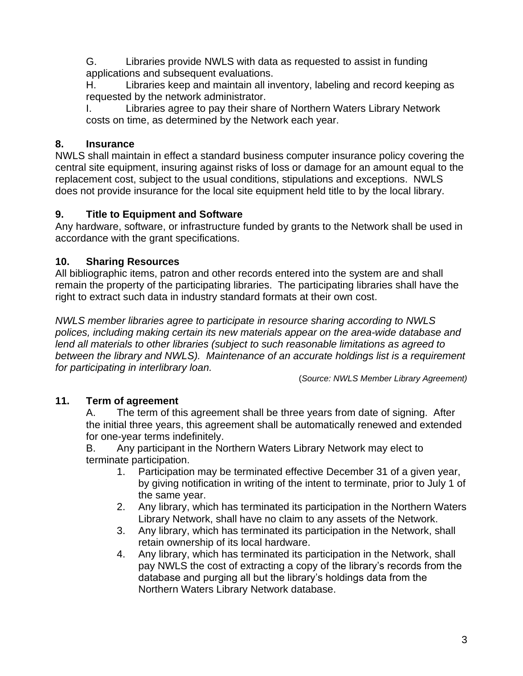G. Libraries provide NWLS with data as requested to assist in funding applications and subsequent evaluations.

H. Libraries keep and maintain all inventory, labeling and record keeping as requested by the network administrator.

I. Libraries agree to pay their share of Northern Waters Library Network costs on time, as determined by the Network each year.

#### **8. Insurance**

NWLS shall maintain in effect a standard business computer insurance policy covering the central site equipment, insuring against risks of loss or damage for an amount equal to the replacement cost, subject to the usual conditions, stipulations and exceptions. NWLS does not provide insurance for the local site equipment held title to by the local library.

#### **9. Title to Equipment and Software**

Any hardware, software, or infrastructure funded by grants to the Network shall be used in accordance with the grant specifications.

### **10. Sharing Resources**

All bibliographic items, patron and other records entered into the system are and shall remain the property of the participating libraries. The participating libraries shall have the right to extract such data in industry standard formats at their own cost.

*NWLS member libraries agree to participate in resource sharing according to NWLS polices, including making certain its new materials appear on the area-wide database and lend all materials to other libraries (subject to such reasonable limitations as agreed to between the library and NWLS). Maintenance of an accurate holdings list is a requirement for participating in interlibrary loan.*

(*Source: NWLS Member Library Agreement)*

## **11. Term of agreement**

A. The term of this agreement shall be three years from date of signing. After the initial three years, this agreement shall be automatically renewed and extended for one-year terms indefinitely.

B. Any participant in the Northern Waters Library Network may elect to terminate participation.

- 1. Participation may be terminated effective December 31 of a given year, by giving notification in writing of the intent to terminate, prior to July 1 of the same year.
- 2. Any library, which has terminated its participation in the Northern Waters Library Network, shall have no claim to any assets of the Network.
- 3. Any library, which has terminated its participation in the Network, shall retain ownership of its local hardware.
- 4. Any library, which has terminated its participation in the Network, shall pay NWLS the cost of extracting a copy of the library's records from the database and purging all but the library's holdings data from the Northern Waters Library Network database.